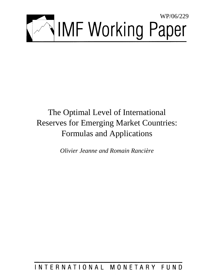

# The Optimal Level of International Reserves for Emerging Market Countries: Formulas and Applications

*Olivier Jeanne and Romain Rancière*

INTERNATIONAL MONETARY FUND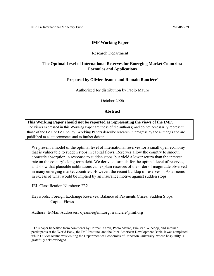# **IMF Working Paper**

#### Research Department

# **The Optimal Level of International Reserves for Emerging Market Countries: Formulas and Applications**

#### **Prepared by Olivier Jeanne and Romain Rancière1**

Authorized for distribution by Paolo Mauro

October 2006

#### **Abstract**

**This Working Paper should not be reported as representing the views of the IMF.** The views expressed in this Working Paper are those of the author(s) and do not necessarily represent those of the IMF or IMF policy. Working Papers describe research in progress by the author(s) and are published to elicit comments and to further debate.

We present a model of the optimal level of international reserves for a small open economy that is vulnerable to sudden stops in capital flows. Reserves allow the country to smooth domestic absorption in response to sudden stops, but yield a lower return than the interest rate on the country's long-term debt. We derive a formula for the optimal level of reserves, and show that plausible calibrations can explain reserves of the order of magnitude observed in many emerging market countries. However, the recent buildup of reserves in Asia seems in excess of what would be implied by an insurance motive against sudden stops.

JEL Classification Numbers: F32

 $\overline{a}$ 

Keywords: Foreign Exchange Reserves, Balance of Payments Crises, Sudden Stops, Capital Flows

Authors' E-Mail Addresses: ojeanne@imf.org; rranciere@imf.org

<sup>&</sup>lt;sup>1</sup> This paper benefited from comments by Herman Kamil, Paolo Mauro, Eric Van Wincoop, and seminar participants at the World Bank, the IMF Institute, and the Inter-American Development Bank. It was completed while Olivier Jeanne was visiting the Department of Economics of Princeton University, whose hospitality is gratefully acknowledged.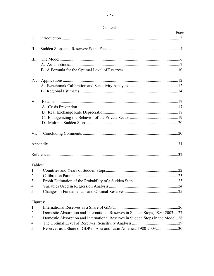| Contents |
|----------|
|----------|

|             | COMENTIUS                                                                      |      |
|-------------|--------------------------------------------------------------------------------|------|
| $I_{\cdot}$ |                                                                                | Page |
|             |                                                                                |      |
| Π.          |                                                                                |      |
| III.        |                                                                                |      |
|             |                                                                                |      |
|             |                                                                                |      |
| IV.         |                                                                                |      |
|             |                                                                                |      |
|             |                                                                                |      |
| $V_{\cdot}$ |                                                                                |      |
|             |                                                                                |      |
|             |                                                                                |      |
|             |                                                                                |      |
|             |                                                                                |      |
| VI.         |                                                                                |      |
|             |                                                                                |      |
|             |                                                                                |      |
| Tables:     |                                                                                |      |
| 1.          |                                                                                |      |
| 2.          |                                                                                |      |
| 3.          |                                                                                |      |
| 4.          |                                                                                |      |
| 5.          |                                                                                |      |
|             | Figures:                                                                       |      |
| 1.          |                                                                                | .26  |
| 2.          | Domestic Absorption and International Reserves in Sudden Stops, 1980-2003 27   |      |
| 3.          | Domestic Absorption and International Reserves in Sudden Stops in the Model 28 |      |
| 4.          |                                                                                | .29  |
| 5.          | Reserves as a Share of GDP in Asia and Latin America, 1980-200330              |      |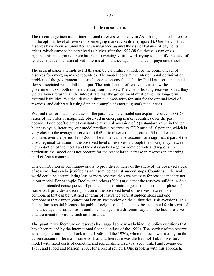#### **I. INTRODUCTION**

The recent large increase in international reserves, especially in Asia, has generated a debate on the optimal level of reserves for emerging market countries (Figure 1). One view is that reserves have been accumulated as an insurance against the risk of balance of payments crises, which came to be perceived as higher after the 1997-98 Southeast Asian crisis. Against this background, there has been surprisingly little work trying to quantify the level of reserves that can be rationalized in terms of insurance against balance of payments shocks.

The present paper attempts to fill this gap by calibrating a model of the optimal level of reserves for emerging market countries. The model looks at the intertemporal optimization problem of the government in a small open economy that is hit by "sudden stops" in capital flows associated with a fall in output. The main benefit of reserves is to allow the government to smooth domestic absorption in crises. The cost of holding reserves is that they yield a lower return than the interest rate that the government must pay on its long-term external liabilities. We then derive a simple, closed-form formula for the optimal level of reserves, and calibrate it using data on a sample of emerging market countries.

We find that for plausible values of the parameters the model can explain reserves-to-GDP ratios of the order of magnitude observed in emerging market countries over the past decades. For a coefficient of constant relative risk aversion of 2 (a standard value in the real business cycle literature), our model predicts a reserves-to-GDP ratio of 10 percent, which is very close to the average reserves-to-GDP ratio observed in a group of 34 middle-income countries over the period 1980-2003. The model can also account for a significant part of the cross-regional variation in the observed level of reserves, although the discrepancy between the prediction of the model and the data can be large for some periods and regions. In particular, the model does not account for the recent large increase in reserves in emerging market Asian countries.

One contribution of our framework is to provide estimates of the share of the observed stock of reserves that can be justified as an insurance against sudden stops. Countries in the real world could be accumulating less or more reserves than we estimate for reasons that are not in our model. For example, Dooley and others (2004) argue that the reserves buildup in Asia is the unintended consequence of policies that maintain large current account surpluses. Our framework provides a decomposition of the observed level of reserves between one component that can be justified in terms of insurance against sudden stops and one component that cannot (conditional on an assumption on the authorities' risk aversion). This distinction is useful because the public foreign assets that cannot be accounted for in terms of insurance against sudden stops could be managed in a different way than the liquid reserves that are meant to provide such an insurance.

The quantitative literature on reserves has lagged somewhat behind the policy questions that have been raised by the international financial crises of the 1990s. The heyday of the reserve adequacy literature dates back to the 1960s and the 1970s, when the focus was mainly on the current account. The main framework of that literature was the Baumol-Tobin inventory model with fixed costs of depleting and replenishing reserves (see Frenkel and Jovanovic, 1981, and Flood and Marion, 2002, for a recent review). One problem with this approach,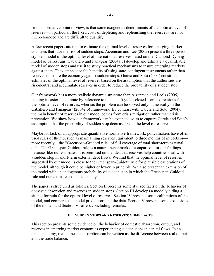from a normative point of view, is that some exogenous determinants of the optimal level of reserves—in particular, the fixed costs of depleting and replenishing the reserves—are not micro-founded and are difficult to quantify.

A few recent papers attempt to estimate the optimal level of reserves for emerging market countries that face the risk of sudden stops. Aizenman and Lee (2005) present a three-period stylized model of the optimal level of international reserves based on the Diamond-Dybvig model of banks runs. Caballero and Panageas (2004a,b) develop and estimate a quantifiable model of sudden stops and use it to study practical mechanisms to insure emerging markets against them. They emphasize the benefits of using state-contingent instruments rather than reserves to insure the economy against sudden stops. Garcia and Soto (2004) construct estimates of the optimal level of reserves based on the assumption that the authorities are risk-neutral and accumulate reserves in order to reduce the probability of a sudden stop.

Our framework has a more realistic dynamic structure than Aizenman and Lee's (2005), making it easier to calibrate by reference to the data. It yields closed-form expressions for the optimal level of reserves, whereas the problem can be solved only numerically in the Caballero and Panageas' (2004a,b) framework. By contrast with Garcia and Soto (2004), the main benefit of reserves in our model comes from crisis mitigation rather than crisis prevention. We show how our framework can be extended so as to capture Garcia and Soto's assumption that the probability of sudden stop decreases with the level of reserves.

Maybe for lack of an appropriate quantitative normative framework, policymakers have often used rules of thumb, such as maintaining reserves equivalent to three months of imports or more recently—the "Greenspan-Guidotti rule" of full coverage of total short-term external debt. The Greenspan-Guidotti rule is a natural benchmark of comparison for our findings because, like our estimates, it is premised on the idea that reserves help countries deal with a sudden stop in short-term external debt flows. We find that the optimal level of reserves suggested by our model is close to the Greenspan-Guidotti rule for plausible calibrations of the model, although it could be higher or lower in principle. We also present an extension of the model with an endogenous probability of sudden stop in which the Greenspan-Guidotti rule and our estimates coincide exactly.

The paper is structured as follows. Section II presents some stylized facts on the behavior of domestic absorption and reserves in sudden stops. Section III develops a model yielding a simple formula for the optimal level of reserves. Section IV presents some calibrations of the model, and compares the model predictions and the data. Section V presents some extensions of the model, and Section VI offers concluding remarks.

# **II. SUDDEN STOPS AND RESERVES: SOME FACTS**

This section presents some evidence on the behavior of domestic absorption, output, and reserves in emerging market economies experiencing sudden stops in capital flows. In an open economy, real domestic absorption can be written as the difference between real output and the trade balance: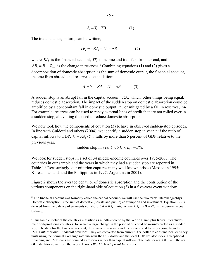$$
A_t = Y_t - T B_t \tag{1}
$$

The trade balance, in turn, can be written,

$$
TB_t = -KA_t - IT_t + \Delta R_t \tag{2}
$$

where  $KA$ , is the financial account,  $IT<sub>t</sub>$  is income and transfers from abroad, and  $\Delta R_{t} = R_{t} - R_{t-1}$  is the change in reserves. <sup>2</sup> Combining equations (1) and (2) gives a decomposition of domestic absorption as the sum of domestic output, the financial account, income from abroad, and reserves decumulation:

$$
A_t = Y_t + KA_t + IT_t - \Delta R_t.
$$
 (3)

A sudden stop is an abrupt fall in the capital account, *KA*, which, other things being equal, reduces domestic absorption. The impact of the sudden stop on domestic absorption could be amplified by a concomitant fall in domestic output, *Y* , or mitigated by a fall in reserves, ∆*R* . For example, reserves can be used to repay external lines of credit that are not rolled over in a sudden stop, alleviating the need to reduce domestic absorption.

We now look how the components of equation (3) behave in observed sudden-stop episodes. In line with Guidotti and others (2004), we identify a sudden stop in year *t* if the ratio of capital inflows to GDP,  $k_1 = KA_1/Y_1$ , falls by more than 5 percent of GDP relative to the previous year,

sudden stop in year  $t \Leftrightarrow k_{t} < k_{t-1} - 5\%$ .

We look for sudden stops in a set of 34 middle-income countries over 1975-2003. The countries in our sample and the years in which they had a sudden stop are reported in Table 1.<sup>3</sup> Reassuringly, our criterion captures many well-known crises (Mexico in 1995; Korea, Thailand, and the Philippines in 1997; Argentina in 2001).

Figure 2 shows the average behavior of domestic absorption and the contribution of the various components on the right-hand side of equation (3) in a five-year event window

 $\overline{a}$ <sup>2</sup> The financial account was formerly called the capital account (we will use the two terms interchangeably). Domestic absorption is the sum of domestic (private and public) consumption and investment. Equation (2) is derived from the balance of payments equation,  $CA + KA = \Delta R$ , where  $CA = TB + IT$  is the current account balance.

<sup>&</sup>lt;sup>3</sup> Our sample includes the countries classified as middle-income by the World Bank, plus Korea. It excludes major oil-producing countries, for which a large change in the price of oil could be misinterpreted as a sudden stop. The data for the financial account, the change in reserves and the income and transfers come from the IMF's *International Financial Statistics*. They are converted from current U.S. dollar to constant local currency units using the nominal exchange rate vis-à-vis the U.S. dollar and the local GDP deflator index. Exceptional financing and IMF loans are counted as reserves rather than capital inflows. The data for real GDP and the real GDP deflator come from the World Bank's *World Development Indicators*.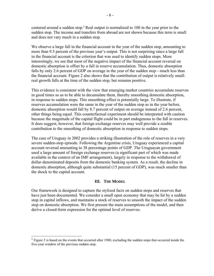centered around a sudden stop.<sup>4</sup> Real output is normalized to 100 in the year prior to the sudden stop. The income and transfers from abroad are not shown because this term is small and does not vary much in a sudden stop.

We observe a large fall in the financial account in the year of the sudden stop, amounting to more than 9.5 percent of the previous year's output. This is not surprising since a large fall in the financial account is the criterion that was used to identify sudden stops. More interestingly, we see that most of the negative impact of the financial account reversal on domestic absorption is offset by a fall in reserve accumulation. Thus, domestic absorption falls by only 2.6 percent of GDP on average in the year of the sudden stop—much less than the financial account. Figure 2 also shows that the contribution of output is relatively small: real growth falls at the time of the sudden stop, but remains positive.

This evidence is consistent with the view that emerging market countries accumulate reserves in good times so as to be able to decumulate them, thereby smoothing domestic absorption, in response to sudden stops. This smoothing effect is potentially large. To illustrate, if reserves accumulation were the same in the year of the sudden stop as in the year before, domestic absorption would fall by 8.7 percent of output on average instead of 2.6 percent, other things being equal. This counterfactual experiment should be interpreted with caution because the magnitude of the capital flight could be in part endogenous to the fall in reserves. It does suggest, however, that foreign exchange reserves may well provide a sizable contribution to the smoothing of domestic absorption in response to sudden stops.

The case of Uruguay in 2002 provides a striking illustration of the role of reserves in a very severe sudden-stop episode. Following the Argentine crisis, Uruguay experienced a capital account reversal amounting to 38 percentage points of GDP. The Uruguayan government used a large amount of foreign exchange reserves (a significant part of which was made available in the context of an IMF arrangement), largely in response to the withdrawal of dollar-denominated deposits from the domestic banking system. As a result, the decline in domestic absorption, although quite substantial (15 percent of GDP), was much smaller than the shock to the capital account.

# **III. THE MODEL**

Our framework is designed to capture the stylized facts on sudden stops and reserves that have just been documented. We consider a small open economy that may be hit by a sudden stop in capital inflows, and maintains a stock of reserves to smooth the impact of the sudden stop on domestic absorption. We first present the main assumptions of the model, and then derive a closed-form expression for the optimal level of reserves.

<sup>&</sup>lt;sup>4</sup> Figure 2 is based on the events that occurred after 1980, excluding the sudden stops that occurred inside the five-year window of the previous sudden stop.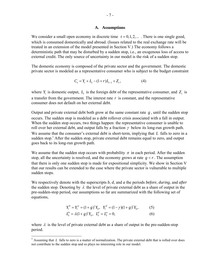#### **A. Assumptions**

We consider a small open economy in discrete time  $t = 0, 1, 2, \dots$ . There is one single good, which is consumed domestically and abroad. (Issues related to the real exchange rate will be treated in an extension of the model presented in Section V.) The economy follows a deterministic path that may be disturbed by a sudden stop, i.e., an exogenous loss of access to external credit. The only source of uncertainty in our model is the risk of a sudden stop.

The domestic economy is composed of the private sector and the government. The domestic private sector is modeled as a representative consumer who is subject to the budget constraint

$$
C_t = Y_t + L_t - (1+r)L_{t-1} + Z_t, \tag{4}
$$

where  $Y_t$  is domestic output,  $L_t$  is the foreign debt of the representative consumer, and  $Z_t$  is a transfer from the government. The interest rate  $r$  is constant, and the representative consumer does not default on her external debt.

Output and private external debt both grow at the same constant rate *g* , until the sudden stop occurs. The sudden stop is modeled as a debt rollover crisis associated with a fall in output. When the sudden stop occurs, two things happen: the representative consumer is unable to roll over her external debt, and output falls by a fraction  $\gamma$  below its long-run growth path. We assume that the consumer's external debt is short-term, implying that *L* falls to zero in a sudden stop.<sup>5</sup> After the sudden stop, private external debt remains equal to zero, and output goes back to its long-run growth path.

We assume that the sudden stop occurs with probability  $\pi$  in each period. After the sudden stop, all the uncertainty is resolved, and the economy grows at rate  $g \lt r$ . The assumption that there is only one sudden stop is made for expositional simplicity. We show in Section V that our results can be extended to the case where the private sector is vulnerable to multiple sudden stops.

We respectively denote with the superscripts *b*, *d*, and *a* the periods *before*, *during*, and *after* the sudden stop. Denoting by  $\lambda$  the level of private external debt as a share of output in the pre-sudden-stop period, our assumptions so far are summarized with the following set of equations,

$$
Y_t^b = Y_t^a = (1+g)'Y_0, \quad Y_t^d = (1-\gamma)(1+g)'Y_0,\tag{5}
$$

$$
L_t^b = \lambda (1 + g)^t Y_0, \quad L_t^d = L_t^a = 0,
$$
\n(6)

where  $\lambda$  is the level of private external debt as a share of output in the pre-sudden-stop period.

 $\overline{a}$ 

<sup>&</sup>lt;sup>5</sup> Assuming that *L* falls to zero is a matter of normalization. The private external debt that is rolled over does not contribute to the sudden stop and so plays no interesting role in our model.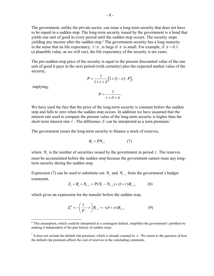The government, unlike the private sector, can issue a long-term security that does not have to be repaid in a sudden stop. The long-term security issued by the government is a bond that yields one unit of good in every period until the sudden stop occurs. The security stops yielding any income after the sudden stop.6 The government security has a long maturity in the sense that its life expectancy,  $1/\pi$ , is large if  $\pi$  is small. For example, if  $\pi = 0.1$ (a plausible value, as we will see), the life expectancy of the security is ten years.

The pre-sudden-stop price of the security is equal to the present discounted value of the one unit of good it pays in the next period (with certainty) plus the expected market value of the security,

$$
P = \frac{1}{1+r+\delta} \left[ 1 + (1-\pi) \cdot P \right],
$$

implying,

$$
P = \frac{1}{r + \delta + \pi}.
$$

We have used the fact that the price of the long-term security is constant before the sudden stop and falls to zero when the sudden stop occurs. In addition we have assumed that the interest rate used to compute the present value of the long-term security is higher than the short-term interest rate  $r$ . The difference  $\delta$  can be interpreted as a term premium.<sup>7</sup>

The government issues the long-term security to finance a stock of reserves,

$$
R_t = PN_t, \tag{7}
$$

where  $N_t$  is the number of securities issued by the government in period  $t$ . The reserves must be accumulated before the sudden stop because the government cannot issue any longterm security during the sudden stop.

Expression (7) can be used to substitute out *N<sub>t</sub>* and  $N_{t-1}$  from the government's budget constraint,

$$
Z_t + R_t + N_{t-1} = P(N_t - N_{t-1}) + (1+r)R_{t-1},
$$
\n(8)

which gives an expression for the transfer before the sudden stop,

$$
Z_t^b = -\left(\frac{1}{P} - r\right) R_{t-1} = -(\delta + \pi) R_{t-1}.
$$
 (9)

<sup>&</sup>lt;sup>6</sup> This assumption, which could be interpreted as a contingent default, simplifies the government's problem by making it independent of the past history of sudden stops.

<sup>&</sup>lt;sup>7</sup> It does not include the default risk premium, which is already counted in  $\pi$ . We return to the question of how the default risk premium affects the cost of reserves in the concluding comments.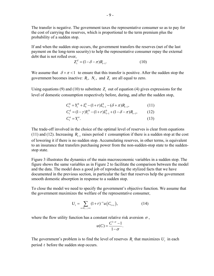The transfer is negative. The government taxes the representative consumer so as to pay for the cost of carrying the reserves, which is proportional to the term premium plus the probability of a sudden stop.

If and when the sudden stop occurs, the government transfers the reserves (net of the last payment on the long-term security) to help the representative consumer repay the external debt that is not rolled over,

$$
Z_t^d = (1 - \delta - \pi)R_{t-1}.
$$
 (10)

We assume that  $\delta + \pi < 1$  to ensure that this transfer is positive. After the sudden stop the government becomes inactive:  $R_t$ ,  $N_t$ , and  $Z_t$  are all equal to zero.

Using equations (9) and (10) to substitute  $Z_t$  out of equation (4) gives expressions for the level of domestic consumption respectively before, during, and after the sudden stop,

$$
C_t^b = Y_t^b + L_t^b - (1+r)L_{t-1}^b - (\delta + \pi)R_{t-1},
$$
\n(11)  
\n
$$
C_t^d = (1-\gamma)Y_t^b - (1+r)L_{t-1}^b + (1-\delta - \pi)R_{t-1},
$$
\n(12)

$$
C_t^a = Y_t^a. \tag{13}
$$

The trade-off involved in the choice of the optimal level of reserves is clear from equations (11) and (12). Increasing  $R_{-1}$  raises period *t* consumption if there is a sudden stop at the cost of lowering it if there is no sudden stop. Accumulating reserves, in other terms, is equivalent to an insurance that transfers purchasing power from the non-sudden-stop state to the suddenstop state.

Figure 3 illustrates the dynamics of the main macroeconomic variables in a sudden stop. The figure shows the same variables as in Figure 2 to facilitate the comparison between the model and the data. The model does a good job of reproducing the stylized facts that we have documented in the previous section, in particular the fact that reserves help the government smooth domestic absorption in response to a sudden stop.

To close the model we need to specify the government's objective function. We assume that the government maximizes the welfare of the representative consumer,

$$
U_t = \sum_{s=0,\dots,\infty} (1+r)^{-s} u\big(C_{t+s}\big),\tag{14}
$$

where the flow utility function has a constant relative risk aversion  $\sigma$ ,

$$
u(C) = \frac{C^{1-\sigma}-1}{1-\sigma}.
$$

The government's problem is to find the level of reserves  $R_t$  that maximizes  $U_t$  in each period *t* before the sudden stop occurs.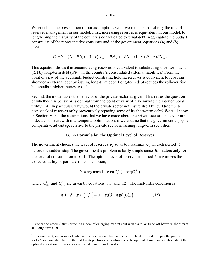We conclude the presentation of our assumptions with two remarks that clarify the role of reserves management in our model. First, increasing reserves is equivalent, in our model, to lengthening the maturity of the country's consolidated external debt. Aggregating the budget constraints of the representative consumer and of the government, equations (4) and (8), gives

$$
C_{t} = Y_{t} + (L_{t} - PN_{t}) - (1 + r)(L_{t-1} - PN_{t-1}) + PN_{t} - (1 + r + \delta + \pi)PN_{t-1}.
$$

This equation shows that accumulating reserves is equivalent to substituting short-term debt  $(L)$  by long-term debt  $(PN)$  in the country's consolidated external liabilities.<sup>8</sup> From the point of view of the aggregate budget constraint, holding reserves is equivalent to repaying short-term external debt by issuing long-term debt. Long-term debt reduces the rollover risk but entails a higher interest cost.<sup>9</sup>

Second, the model takes the behavior of the private sector as given. This raises the question of whether this behavior is optimal from the point of view of maximizing the intertemporal utility (14). In particular, why would the private sector not insure itself by building up its own stock of reserves or by preventively repaying some of its short-term debt? We will show in Section V that the assumptions that we have made about the private sector's behavior are indeed consistent with intertemporal optimization, if we assume that the government enjoys a comparative advantage relative to the private sector in issuing long-term securities.

#### **B. A Formula for the Optimal Level of Reserves**

The government chooses the level of reserves  $R$ , so as to maximize  $U$ , in each period  $t$ before the sudden stop. The government's problem is fairly simple since *R*, matters only for the level of consumption in  $t+1$ . The optimal level of reserves in period  $t$  maximizes the expected utility of period  $t+1$  consumption,

$$
R_t = \arg \max(1 - \pi)u(C_{t+1}^b) + \pi u(C_{t+1}^d),
$$

where  $C_{t+1}^b$  and  $C_{t+1}^d$  are given by equations (11) and (12). The first-order condition is

$$
\pi(1-\delta-\pi)u'\left(C_{t+1}^d\right) = (1-\pi)(\delta+\pi)u'\left(C_{t+1}^b\right). \tag{15}
$$

 $8$  Broner and others (2004) present a model of emerging market debt with a similar trade-off between short-term and long-term debt.

<sup>&</sup>lt;sup>9</sup> It is irrelevant, in our model, whether the reserves are kept at the central bank or used to repay the private sector's external debt before the sudden stop. However, waiting could be optimal if some information about the optimal allocation of reserves were revealed in the sudden stop.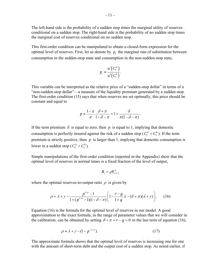The left-hand side is the probability of a sudden stop times the marginal utility of reserves conditional on a sudden stop. The right-hand side is the probability of no sudden stop times the marginal cost of reserves conditional on no sudden stop.

This first-order condition can be manipulated to obtain a closed-form expression for the optimal level of reserves. First, let us denote by  $p_t$ , the marginal rate of substitution between consumption in the sudden-stop state and consumption in the non-sudden-stop state,

$$
p_t \equiv \frac{u'\left(C_t^d\right)}{u'\left(C_t^b\right)}.
$$

This variable can be interpreted as the relative price of a "sudden-stop dollar" in terms of a "non-sudden-stop dollar"—a measure of the liquidity premium generated by a sudden stop. The first-order condition (15) says that when reserves are set optimally, this price should be constant and equal to

$$
p \equiv \frac{1-\pi}{\pi} \frac{\delta + \pi}{1-\delta - \pi} = 1 + \frac{\delta}{\pi(1-\delta - \pi)}.
$$

If the term premium  $\delta$  is equal to zero, then  $p$  is equal to 1, implying that domestic consumption is perfectly insured against the risk of a sudden stop ( $C_t^d = C_t^b$ ). If the term premium is strictly positive, then  $p$  is larger than 1, implying that domestic consumption is lower in a sudden stop ( $C_t^d < C_t^b$ ).

Simple manipulations of the first-order condition (reported in the Appendix) show that the optimal level of reserves in normal times is a fixed fraction of the level of output,

$$
R_{t}=\rho Y_{t+1}^{b},
$$

where the optimal reserves-to-output ratio  $\rho$  is given by

$$
\rho = \lambda + \gamma - \frac{p^{1/\sigma} - 1}{1 + (p^{1/\sigma} - 1)(1 - \delta - \pi)} \left( 1 - \frac{r - g}{1 + g} \lambda - (\delta + \pi)(\lambda + \gamma) \right). \tag{16}
$$

Equation (16) is the formula for the optimal level of reserves in our model. A good approximation to the exact formula, in the range of parameter values that we will consider in the calibration, can be obtained by setting  $\delta + \pi = r - g = 0$  in the last term of equation (16),

$$
\rho \approx \lambda + \gamma - (1 - p^{-1/\sigma}).\tag{17}
$$

The approximate formula shows that the optimal level of reserves is increasing one for one with the amount of short-term debt and the output cost of a sudden stop. As noted earlier, if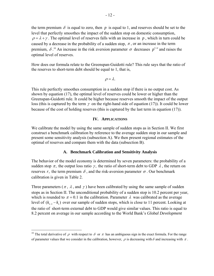the term premium  $\delta$  is equal to zero, then p is equal to 1, and reserves should be set to the level that perfectly smoothes the impact of the sudden stop on domestic consumption,  $\rho = \lambda + \gamma$ . The optimal level of reserves falls with an increase in p, which in turn could be caused by a decrease in the probability of a sudden stop,  $\pi$ , or an increase in the term premium,  $\delta$ <sup>10</sup> An increase in the risk aversion parameter  $\sigma$  decreases  $p^{1/\sigma}$  and raises the optimal level of reserves.

How does our formula relate to the Greenspan-Guidotti rule? This rule says that the ratio of the reserves to short-term debt should be equal to 1, that is,

 $\rho = \lambda$ .

This rule perfectly smoothes consumption in a sudden stop if there is no output cost. As shown by equation (17), the optimal level of reserves could be lower or higher than the Greenspan-Guidotti rule. It could be higher because reserves smooth the impact of the output loss (this is captured by the term  $\gamma$  on the right-hand side of equation (17)). It could be lower because of the cost of holding reserves (this is captured by the last term in equation (17)).

#### **IV. APPLICATIONS**

We calibrate the model by using the same sample of sudden stops as in Section II. We first construct a benchmark calibration by reference to the average sudden stop in our sample and present some sensitivity analysis (subsection A). We then present regional estimates of the optimal of reserves and compare them with the data (subsection B).

#### **A. Benchmark Calibration and Sensitivity Analysis**

The behavior of the model economy is determined by seven parameters: the probability of a sudden stop  $\pi$ , the output loss ratio  $\gamma$ , the ratio of short-term debt to GDP  $\lambda$ , the return on reserves *r*, the term premium  $\delta$ , and the risk-aversion parameter  $\sigma$ . Our benchmark calibration is given in Table 2.

Three parameters ( $\pi$ ,  $\lambda$ , and  $\gamma$ ) have been calibrated by using the same sample of sudden stops as in Section II. The unconditional probability of a sudden stop is 10.2 percent per year, which is rounded to  $\pi = 0.1$  in the calibration. Parameter  $\lambda$  was calibrated as the average level of  $(k_{t-1} - k_t)$  over our sample of sudden stops, which is close to 11 percent. Looking at the ratio of short-term external debt to GDP would give similar values. This ratio is equal to 8.2 percent on average in our sample according to the World Bank's *Global Development* 

 $\overline{a}$ 

<sup>&</sup>lt;sup>10</sup> The total derivative of  $\rho$  with respect to  $\delta$  or  $\pi$  has an ambiguous sign in the exact formula. For the range of parameter values that we consider in the calibration, however,  $\rho$  is decreasing with  $\delta$  and increasing with  $\pi$ .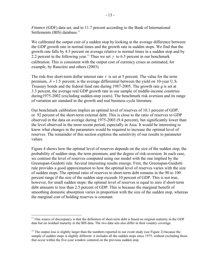*Finance* (GDF) data set, and to 11.7 percent according to the Bank of International Settlements (BIS) database.<sup>11</sup>

We calibrated the output cost of a sudden stop by looking at the average difference between the GDP growth rate in normal times and the growth rate in sudden stops. We find that the growth rate falls by 4.5 percent on average relative to normal times in a sudden stop and by 2.2 percent in the following year.<sup>12</sup> Thus we set  $\gamma$  to 6.5 percent in our benchmark calibration. This is consistent with the output cost of currency crises as estimated, for example, by Rancière and others (2003).

The risk-free short-term dollar interest rate  $r$  is set at 5 percent. The value for the term premium,  $\delta = 1.5$  percent, is the average differential between the yield on 10-year U.S. Treasury bonds and the federal fund rate during 1987-2005. The growth rate *g* is set at 3.3 percent, the average real GDP growth rate in our sample of middle-income countries during1975-2002 (excluding sudden-stop years). The benchmark risk aversion and its range of variation are standard in the growth and real business cycle literature.

Our benchmark calibration implies an optimal level of reserves of 10.1 percent of GDP, or 92 percent of the short-term external debt. This is close to the ratio of reserves to GDP observed in the data on average during 1975-2003 (9.4 percent), but significantly lower than the level observed in the most recent period, especially in Asia. It would be interesting to know what changes in the parameters would be required to increase the optimal level of reserves. The remainder of this section explores the sensitivity of our results to parameter values.

Figure 4 shows how the optimal level of reserves depends on the size of the sudden stop, the probability of sudden stop, the term premium, and the degree of risk-aversion. In each case, we contrast the level of reserves computed using our model with the one implied by the Greenspan-Guidotti rule. Several interesting results emerge. First, the Greenspan-Guidotti rule provides a good approximation to how the optimal level of reserves varies with the size of sudden stops. The optimal ratio of reserves to short-term debt remains in the 90 to 100 percent range if the size of the sudden stop exceeds 10 percent of GDP. This is not true, however, for small sudden stops: the optimal level of reserves is equal to zero if short-term debt amounts to less than 2.5 percent of GDP. This is because the marginal benefit of smoothing domestic absorption varies in proportion with the size of the sudden stop, whereas the marginal cost of holding reserves is constant.

 $\overline{a}$ 

 $11$  One source of discrepancy is that the definition of short-term debt is based on original maturity in the GDF data but on residual maturity in the BIS data. The two data sets also differ in their country coverage.

<sup>&</sup>lt;sup>12</sup> The output loss is slightly larger than the numbers reported in our event study (see Figure 2) because the sample of sudden stops is slightly different: it includes all the sudden stops since 1975, without excluding those that occur within the five-year window centered on the previous sudden stop.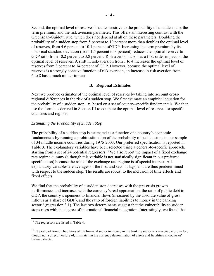Second, the optimal level of reserves is quite sensitive to the probability of a sudden stop, the term premium, and the risk aversion parameter. This offers an interesting contrast with the Greenspan-Guidotti rule, which does not depend at all on these parameters. Doubling the probability of a sudden stop from 5 percent to 10 percent more than doubles the optimal level of reserves, from 4.6 percent to 10.1 percent of GDP. Increasing the term premium by its historical standard deviation (from 1.5 percent to 3 percent) reduces the optimal reserve-to-GDP ratio from 10.2 percent to 3.8 percent. Risk aversion also has a first-order impact on the optimal level of reserves. A shift in risk-aversion from 1 to 4 increases the optimal level of reserves from 3 percent to 14 percent of GDP. However, because the optimal level of reserves is a strongly concave function of risk aversion, an increase in risk aversion from 6 to 8 has a much milder impact.

# **B. Regional Estimates**

Next we produce estimates of the optimal level of reserves by taking into account crossregional differences in the risk of a sudden stop. We first estimate an empirical equation for the probability of a sudden stop,  $\pi$ , based on a set of country-specific fundamentals. We then use the formulas derived in Section III to compute the optimal level of reserves for specific countries and regions.

# *Estimating the Probability of Sudden Stop*

The probability of a sudden stop is estimated as a function of a country's economic fundamentals by running a probit estimation of the probability of sudden stops in our sample of 34 middle income countries during 1975-2003. Our preferred specification is reported in Table 3. The explanatory variables have been selected using a general-to-specific approach, starting from a set of 24 potential regressors.<sup>13</sup> We also report the impact of a fixed exchange rate regime dummy (although this variable is not statistically significant in our preferred specification) because the role of the exchange rate regime is of special interest. All explanatory variables are averages of the first and second lags, and are thus predetermined with respect to the sudden stop. The results are robust to the inclusion of time effects and fixed effects.

We find that the probability of a sudden stop decreases with the pre-crisis growth performance, and increases with the currency's real appreciation, the ratio of public debt to GDP, the country's openness to financial flows (measured by the absolute value of gross inflows as a share of GDP), and the ratio of foreign liabilities to money in the banking sector<sup>14</sup> (regression 3.1). The last two determinants suggest that the vulnerability to sudden stops rises with the degree of international financial integration. Interestingly, we found that

<sup>&</sup>lt;sup>13</sup> The regressors are listed in Table 4.

 $14$  The ratio of foreign liabilities of the financial sector to money in the banking sector is a reasonable proxy for, though not a direct measure of, mismatch in the currency denomination of assets and liabilities in countries' balance sheets.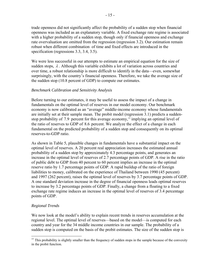trade openness did not significantly affect the probability of a sudden stop when financial openness was included as an explanatory variable. A fixed exchange rate regime is associated with a higher probability of a sudden stop, though only if financial openness and exchange rate overvaluation are omitted from the regression (regression 3.2). Our estimation remain robust when different combination of time and fixed effects are introduced in the specification (regressions 3.3, 3.4, 3.5).

We were less successful in our attempts to estimate an empirical equation for the size of sudden stops,  $\lambda$ . Although this variable exhibits a lot of variation across countries and over time, a robust relationship is more difficult to identify in the data—even, somewhat surprisingly, with the country's financial openness. Therefore, we take the average size of the sudden stop (10.8 percent of GDP) to compute our estimates.

# *Benchmark Calibration and Sensitivity Analysis*

Before turning to our estimates, it may be useful to assess the impact of a change in fundamentals on the optimal level of reserves in our model economy. Our benchmark economy is now calibrated as an "average" middle-income economy whose fundamentals are initially set at their sample mean. The probit model (regression 3.1) predicts a suddenstop probability of 7.9 percent for this average economy,<sup>15</sup> implying an optimal level of the ratio of reserves to GDP of 8.6 percent. We analyze the effect of a change in each fundamental on the predicted probability of a sudden stop and consequently on its optimal reserves-to-GDP ratio.

As shown in Table 5, plausible changes in fundamentals have a substantial impact on the optimal level of reserves. A 20 percent real appreciation increases the estimated annual probability of a sudden stop by approximately 4.3 percentage points, and generates an increase in the optimal level of reserves of 2.7 percentage points of GDP. A rise in the ratio of public debt to GDP from 40 percent to 60 percent implies an increase in the optimal reserve ratio by 1.7 percentage points of GDP. A rapid buildup of the ratio of foreign liabilities to money, calibrated on the experience of Thailand between 1990 (45 percent) and 1997 (262 percent), raises the optimal level of reserves by 3.7 percentage points of GDP. A one standard deviation increase in the degree of financial openness leads optimal reserves to increase by 3.2 percentage points of GDP. Finally, a change from a floating to a fixed exchange rate regime induces an increase in the optimal level of reserves of 3.4 percentage points of GDP.

# *Regional Trends*

1

We now look at the model's ability to explain recent trends in reserves accumulation at the regional level. The optimal level of reserves—based on the model—is computed for each country and year for the 34 middle income countries in our sample. The probability of a sudden stop is computed on the basis of the probit estimates. The size of the sudden stop is

 $15$  This probability is slightly smaller than the frequency of sudden stops in the sample because of the convexity in the probit function.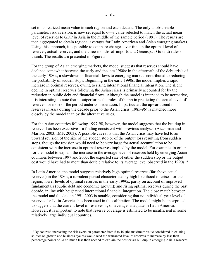set to its realized mean value in each region and each decade. The only unobservable parameter, risk aversion, is now set equal to 6—a value selected to match the actual mean level of reserves to GDP in Asia in the middle of the sample period (1991). The results are then aggregated to obtain regional averages for Latin American and Asian emerging markets. Using this approach, it is possible to compare changes over time in the optimal level of reserves, actual reserves, and the three-months-of-imports and Greenspan-Guidotti rules of thumb. The results are presented in Figure 5.

For the group of Asian emerging markets, the model suggests that reserves should have declined somewhat between the early and the late 1980s: in the aftermath of the debt crisis of the early 1980s, a slowdown in financial flows to emerging markets contributed to reducing the probability of sudden stops. Beginning in the early 1990s, the model implies a rapid increase in optimal reserves, owing to rising international financial integration. The slight decline in optimal reserves following the Asian crises is primarily accounted for by the reduction in public debt and financial flows. Although the model is intended to be normative, it is interesting to note that it outperforms the rules of thumb in predicting the actual level of reserves for most of the period under consideration. In particular, the upward trend in reserves in Asia during the decade prior to the Asian crisis (1985-96) is matched more closely by the model than by the alternative rules.

For the Asian countries following 1997-98, however, the model suggests that the buildup in reserves has been excessive—a finding consistent with previous analyses (Aizenman and Marion, 2003; IMF, 2003). A possible caveat is that the Asian crisis may have led to an upward revision of the size of the sudden stop or of the output loss resulting from sudden stops, though the revision would need to be very large for actual accumulation to be consistent with the increase in optimal reserves implied by the model. For example, in order for the model to explain the increase in the average level of reserves held by emerging Asian countries between 1997 and 2003, the expected size of either the sudden stop or the output cost would have had to more than double relative to its average level observed in the 1990s.<sup>16</sup>

In Latin America, the model suggests relatively high optimal reserves (far above actual reserves) in the 1980s, a turbulent period characterized by high likelihood of crises for the region; lower levels of optimal reserves in the early 1990s, partly on account of improved fundamentals (public debt and economic growth); and rising optimal reserves during the past decade, in line with heightened international financial integration. The close match between the model and the data in 1991-2003 is notable, considering that no individual-year level of reserves for Latin America has been used in the calibration. The model might be interpreted to suggest that the current level of reserves is, on average, adequate in Latin America. However, it is important to note that reserve coverage is estimated to be insufficient in some relatively large individual countries.

 $\overline{a}$ 

<sup>&</sup>lt;sup>16</sup> By contrast, increasing the risk-aversion parameter from 6 to 10 (the maximum value considered in existing studies on growth and business cycles) would lead the warranted level of reserves to increase by less than 3 percentage points of GDP, much less than needed to explain the post-crisis buildup in emerging Asia's reserves.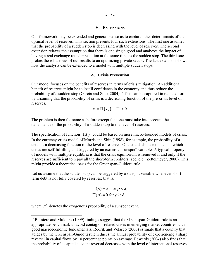#### **V. EXTENSIONS**

Our framework may be extended and generalized so as to capture other determinants of the optimal level of reserves. This section presents four such extensions. The first one assumes that the probability of a sudden stop is decreasing with the level of reserves. The second extension relaxes the assumption that there is one single good and analyzes the impact of having a real exchange rate depreciation at the same time as the sudden stop. The third one probes the robustness of our results to an optimizing private sector. The last extension shows how the analysis can be extended to a model with multiple sudden stops.

# **A. Crisis Prevention**

Our model focuses on the benefits of reserves in terms of crisis mitigation. An additional benefit of reserves might be to instill confidence in the economy and thus reduce the probability of a sudden stop (Garcia and Soto, 2004).<sup>17</sup> This can be captured in reduced form by assuming that the probability of crisis is a decreasing function of the pre-crisis level of reserves,

$$
\pi_t = \Pi(\rho_t), \quad \Pi' < 0.
$$

The problem is then the same as before except that one must take into account the dependence of the probability of a sudden stop to the level of reserves.

The specification of function  $\Pi(\cdot)$  could be based on more micro-founded models of crisis. In the currency-crisis model of Morris and Shin (1998), for example, the probability of a crisis is a decreasing function of the level of reserves. One could also use models in which crises are self-fulfilling and triggered by an extrinsic "sunspot" variable. A typical property of models with multiple equilibria is that the crisis equilibrium is removed if and only if the reserves are sufficient to repay all the short-term creditors (see, e.g., Zettelmeyer, 2000). This might provide a theoretical basis for the Greenspan-Guidotti rule.

Let us assume that the sudden stop can be triggered by a sunspot variable whenever shortterm debt is not fully covered by reserves; that is,

$$
\Pi(\rho) = \pi^s \text{ for } \rho < \lambda,
$$
  
 
$$
\Pi(\rho) = 0 \text{ for } \rho \ge \lambda,
$$

where  $\pi^s$  denotes the exogenous probability of a sunspot event.

<sup>&</sup>lt;sup>17</sup> Bussière and Mulder's (1999) findings suggest that the Greenspan-Guidotti rule is an appropriate benchmark to avoid contagion-related crises in emerging market countries with good macroeconomic fundamentals. Rodrik and Velasco (2000) estimate that a country that abides by the Greenspan-Guidotti rule reduces the annual probability of experiencing a sharp reversal in capital flows by 10 percentage points on average. Edwards (2004) also finds that the probability of a capital account reversal decreases with the level of international reserves.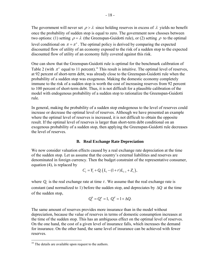The government will never set  $\rho > \lambda$  since holding reserves in excess of  $\lambda$  yields no benefit once the probability of sudden stop is equal to zero. The government now chooses between two options: (1) setting  $\rho = \lambda$  (the Greenspan-Guidotti rule), or (2) setting  $\rho$  to the optimal level conditional on  $\pi = \pi^s$ . The optimal policy is derived by comparing the expected discounted flow of utility of an economy exposed to the risk of a sudden stop to the expected discounted flow of utility of an economy fully covered against this risk.

One can show that the Greenspan-Guidotti rule is optimal for the benchmark calibration of Table 2 (with  $\pi^s$  equal to 11 percent).<sup>18</sup> This result is intuitive. The optimal level of reserves, at 92 percent of short-term debt, was already close to the Greenspan-Guidotti rule when the probability of a sudden stop was exogenous. Making the domestic economy completely immune to the risk of a sudden stop is worth the cost of increasing reserves from 92 percent to 100 percent of short-term debt. Thus, it is not difficult for a plausible calibration of the model with endogenous probability of a sudden stop to rationalize the Greenspan-Guidotti rule.

In general, making the probability of a sudden stop endogenous to the level of reserves could increase or decrease the optimal level of reserves. Although we have presented an example where the optimal level of reserves is increased, it is not difficult to obtain the opposite result. If the optimal level of reserves is larger than short-term debt conditional on an exogenous probability of a sudden stop, then applying the Greenspan-Guidotti rule decreases the level of reserves.

#### **B. Real Exchange Rate Depreciation**

We now consider valuation effects caused by a real exchange rate depreciation at the time of the sudden stop. Let us assume that the country's external liabilities and reserves are denominated in foreign currency. Then the budget constraint of the representative consumer, equation (4), is replaced by

$$
C_t = Y_t + Q_t (L_t - (1+r)L_{t-1} + Z_t),
$$

where  $Q_t$  is the real exchange rate at time  $t$ . We assume that the real exchange rate is constant (and normalized to 1) before the sudden stop, and depreciates by ∆*Q* at the time of the sudden stop,

$$
Q_t^b = Q_t^a = 1, Q_t^d = 1 + \Delta Q.
$$

The same amount of reserves provides more insurance than in the model without depreciation, because the value of reserves in terms of domestic consumption increases at the time of the sudden stop. This has an ambiguous effect on the optimal level of reserves. On the one hand, the cost of a given level of insurance falls, which increases the demand for insurance. On the other hand, the same level of insurance can be achieved with fewer reserves.

 $18$  The details are available upon request to the authors.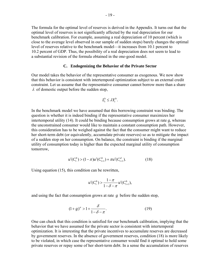The formula for the optimal level of reserves is derived in the Appendix. It turns out that the optimal level of reserves is not significantly affected by the real depreciation for our benchmark calibration. For example, assuming a real depreciation of 10 percent (which is close to the average level observed in our sample of sudden stops) barely changes the optimal level of reserves relative to the benchmark model—it increases from 10.1 percent to 10.2 percent of GDP. Thus, the possibility of a real depreciation does not seem to lead to a substantial revision of the formula obtained in the one-good model.

#### **C. Endogenizing the Behavior of the Private Sector**

Our model takes the behavior of the representative consumer as exogenous. We now show that this behavior is consistent with intertemporal optimization subject to an external credit constraint. Let us assume that the representative consumer cannot borrow more than a share  $\lambda$  of domestic output before the sudden stop,

$$
L_t^b \leq \lambda Y_t^b.
$$

In the benchmark model we have assumed that this borrowing constraint was binding. The question is whether it is indeed binding if the representative consumer maximizes her intertemporal utility (14). It could be binding because consumption grows at rate *g,* whereas the unconstrained consumer would like to maintain a constant consumption path. However, this consideration has to be weighed against the fact that the consumer might want to reduce her short-term debt (or equivalently, accumulate private reserves) so as to mitigate the impact of a sudden stop on her consumption. On balance, the constraint is binding if the marginal utility of consumption today is higher than the expected marginal utility of consumption tomorrow,

$$
u'(C_t^b) > (1 - \pi)u'(C_{t+1}^b) + \pi u'(C_{t+1}^d). \tag{18}
$$

Using equation (15), this condition can be rewritten,

$$
u'(C_t^b) > \frac{1-\pi}{1-\delta-\pi}u'(C_{t+1}^b),
$$

and using the fact that consumption grows at rate *g* before the sudden stop,

$$
(1+g)^\sigma > 1 + \frac{\delta}{1-\delta-\pi}.\tag{19}
$$

One can check that this condition is satisfied for our benchmark calibration, implying that the behavior that we have assumed for the private sector is consistent with intertemporal optimization. It is interesting that the private incentives to accumulate reserves are decreased by government reserves. In the absence of government reserves, condition (18) is more likely to be violated, in which case the representative consumer would find it optimal to hold some private reserves or repay some of her short-term debt. In a sense the accumulation of reserves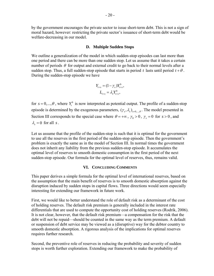by the government encourages the private sector to issue short-term debt. This is not a sign of moral hazard, however: restricting the private sector's issuance of short-term debt would be welfare-decreasing in our model.

# **D. Multiple Sudden Stops**

We outline a generalization of the model in which sudden-stop episodes can last more than one period and there can be more than one sudden stop. Let us assume that it takes a certain number of periods  $\theta$  for output and external credit to go back to their normal levels after a sudden stop. Thus, a full sudden-stop episode that starts in period *t* lasts until period  $t + \theta$ . During the sudden-stop episode we have

$$
Y_{t+s} = (1 - \gamma_s) Y_{t+s}^b,
$$
  

$$
L_{t+s} = \lambda_s Y_{t+s}^b,
$$

for  $s = 0, \ldots, \theta$ , where  $Y_t^b$  is now interpreted as potential output. The profile of a sudden-stop episode is determined by the exogenous parameters,  $(\gamma_s, \lambda_s)_{s=0,\dots,\theta}$ . The model presented in Section III corresponds to the special case where  $\theta = +\infty$ ,  $\gamma_0 > 0$ ,  $\gamma_s = 0$  for  $s > 0$ , and  $\lambda = 0$  for all *s*.

Let us assume that the profile of the sudden-stop is such that it is optimal for the government to use all the reserves in the first period of the sudden-stop episode. Then the government's problem is exactly the same as in the model of Section III. In normal times the government does not inherit any liability from the previous sudden-stop episode. It accumulates the optimal level of reserves to smooth domestic consumption in the first period of the next sudden-stop episode. Our formula for the optimal level of reserves, thus, remains valid.

# **VI. CONCLUDING COMMENTS**

This paper derives a simple formula for the optimal level of international reserves, based on the assumption that the main benefit of reserves is to smooth domestic absorption against the disruption induced by sudden stops in capital flows. Three directions would seem especially interesting for extending our framework in future work.

First, we would like to better understand the role of default risk as a determinant of the cost of holding reserves. The default risk premium is generally included in the interest rate differentials that are used to compute the opportunity cost of holding reserves (Rodrik, 2006). It is not clear, however, that the default risk premium—a compensation for the risk that the debt will not be repaid—should be counted in the same way as the term premium. A default or suspension of debt service may be viewed as a (disruptive) way for the debtor country to smooth domestic absorption. A rigorous analysis of the implications for optimal reserves requires further research.

Second, the preventive role of reserves in reducing the probability and severity of sudden stops is worth further exploration. Extending our framework to make the probability of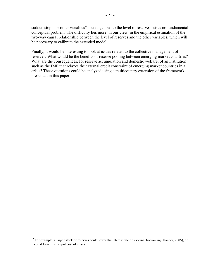sudden stop—or other variables<sup>19</sup>—endogenous to the level of reserves raises no fundamental conceptual problem. The difficulty lies more, in our view, in the empirical estimation of the two-way causal relationship between the level of reserves and the other variables, which will be necessary to calibrate the extended model.

Finally, it would be interesting to look at issues related to the collective management of reserves. What would be the benefits of reserve pooling between emerging market countries? What are the consequences, for reserve accumulation and domestic welfare, of an institution such as the IMF that relaxes the external credit constraint of emerging market countries in a crisis? These questions could be analyzed using a multicountry extension of the framework presented in this paper.

 $19$  For example, a larger stock of reserves could lower the interest rate on external borrowing (Hauner, 2005), or it could lower the output cost of crises.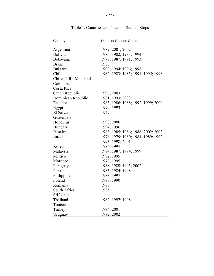| Country               | Dates of Sudden Stops               |
|-----------------------|-------------------------------------|
| Argentina             | 1989; 2001; 2002                    |
| <b>Bolivia</b>        | 1980; 1982; 1983; 1994              |
| <b>Botswana</b>       | 1977; 1987; 1991; 1993              |
| <b>Brazil</b>         | 1983                                |
| Bulgaria              | 1990; 1994; 1996; 1998              |
| Chile                 | 1982; 1983; 1985; 1991; 1995; 1998  |
| China, P.R.: Mainland |                                     |
| Colombia              |                                     |
| Costa Rica            |                                     |
| Czech Republic        | 1996; 2003                          |
| Dominican Republic    | 1981; 1993; 2003                    |
| Ecuador               | 1983; 1986; 1988; 1992; 1999; 2000  |
| Egypt                 | 1990; 1993                          |
| El Salvador           | 1979                                |
| Guatemala             |                                     |
| Honduras              | 1998; 2000                          |
| Hungary               | 1994; 1996                          |
| Jamaica               | 1983; 1985; 1986; 1988; 2002; 2003  |
| Jordan                | 1976; 1979; 1980; 1984; 1989; 1992; |
|                       | 1993; 1998; 2001                    |
| Korea                 | 1986; 1997                          |
| Malaysia              | 1984; 1987; 1994; 1999              |
| Mexico                | 1982; 1995                          |
| Morocco               | 1978; 1995                          |
| Paraguay              | 1988; 1989; 1995; 2002              |
| Peru                  | 1983; 1984; 1998                    |
| Philippines           | 1983; 1997                          |
| Poland                | 1988; 1990                          |
| Romania               | 1988                                |
| South Africa          | 1985                                |
| Sri Lanka             |                                     |
| Thailand              | 1982; 1997; 1998                    |
| Tunisia               |                                     |
| Turkey                | 1994; 2001                          |
| Uruguay               | 1982; 2002                          |

Table 1. Countries and Years of Sudden Stops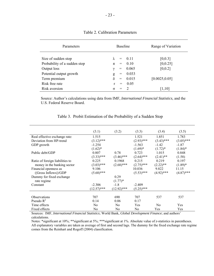| Parameters                   | <b>Baseline</b>             | Range of Variation |
|------------------------------|-----------------------------|--------------------|
| Size of sudden stop          | 011<br>$=$                  | [0,0.3]            |
| Probability of a sudden stop | 0.10<br>$\pi$<br>$=$        | [0, 0.25]          |
| Output loss                  | 0.065<br>ν<br>$=$           | [0,0.2]            |
| Potential output growth      | 0.033<br>g<br>$=$           |                    |
| Term premium                 | δ<br>0.015<br>$=$           | [0.0025, 0.05]     |
| Risk free rate               | 0.05<br>$\mathbf{r}$<br>$=$ |                    |
| Risk aversion                | $\overline{2}$<br>$\sigma$  | [1,10]             |

# Table 2. Calibration Parameters

Source: Author's calculations using data from IMF, *International Financial Statistics*, and the U.S. Federal Reserve Board.

|                                 | (3.1)          | (3.2)          | (3.3)        | (3.4)          | (3.5)        |
|---------------------------------|----------------|----------------|--------------|----------------|--------------|
| Real effective exchange rate:   | 1.515          |                | 1.521        | 1.851          | 1.783        |
| Deviation from HP-trend         | $(3.12)$ ***   |                | $(2.93)$ *** | $(3.43)$ ***   | $(3.05)$ *** |
| GDP growth                      | $-1.254$       |                | $-1.563$     | $-1.42$        | $-1.87$      |
|                                 | $(1.62)^*$     |                | $(1.69)^*$   | $(1.72)^*$     | $(1.84)$ *   |
| Public debt/GDP                 | 0.807          | 0.78           | 0.723        | 1.015          | 0.848        |
|                                 | $(3.33)$ ***   | $(3.46)$ ***   | $(2.64)$ *** | $(2.41)$ **    | (1.58)       |
| Ratio of foreign liabilities to | 0.225          | 0.1968         | 0.215        | 0.219          | 0.197        |
| money in the banking sector     | $(3.03)$ ***   | $(2.68)$ ***   | $(2.75)$ *** | $(2.22)$ **    | $(1.89)*$    |
| Financial openness as           | 9.106          |                | 10.036       | 9.822          | 11.15        |
| ( Gross Inflows )/GDP           | $(5.68)$ ***   |                | $(5.53)$ *** | $(4.92)$ ***   | $(4.87)$ *** |
| Dummy for fixed exchange        |                | 0.29           |              |                |              |
| rate regime                     |                | $(1.77)^*$     |              |                |              |
| Constant                        | $-2.306$       | $-1.8$         | $-2.409$     |                |              |
|                                 | $(12.57)$ ***  | $(12.92)$ ***  | $(5.25)$ *** |                |              |
|                                 |                |                |              |                |              |
| <b>Observations</b>             | 707            | 690            | 707          | 537            | 537          |
| Pseudo $R^2$                    | 0.14           | 0.06           | 0.17         |                |              |
| Time effects                    | N <sub>0</sub> | N <sub>0</sub> | Yes          | N <sub>0</sub> | Yes          |
| Fixed effects                   | N <sub>0</sub> | No             | No.          | Yes            | Yes          |

#### Table 3. Probit Estimation of the Probability of a Sudden Stop

Sources: IMF, *International Financial Statistics*; World Bank, *Global Development Finance*; and authors' calculations.

Notes: \*significant at 10%; \*\*significant at 5%; \*\*\*significant at 1%. Absolute value of *z-*statistics in parentheses. All explanatory variables are taken as average of first and second lags. The dummy for the fixed exchange rate regime comes from the Reinhart and Rogoff (2004) classification.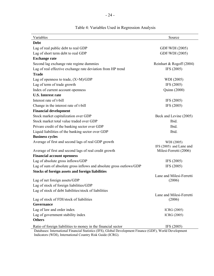| Variables                                                                                                | Source                   |
|----------------------------------------------------------------------------------------------------------|--------------------------|
| <b>Debt</b>                                                                                              |                          |
| Lag of real public debt to real GDP                                                                      | GDF/WDI (2005)           |
| Lag of short term debt to real GDP                                                                       | GDF/WDI (2005)           |
| <b>Exchange rate</b>                                                                                     |                          |
| Second lag exchange rate regime dummies                                                                  | Reinhart & Rogoff (2004) |
| Lag of real effective exchange rate deviation from HP trend                                              | IFS (2005)               |
| <b>Trade</b>                                                                                             |                          |
| Lag of openness to trade, $(X+M)/GDP$                                                                    | WDI (2005)               |
| Lag of term of trade growth                                                                              | IFS (2005)               |
| Index of current account openness                                                                        | Quinn (2000)             |
| <b>U.S.</b> Interest rate                                                                                |                          |
| Interest rate of t-bill                                                                                  | IFS (2005)               |
| Change in the interest rate of t-bill                                                                    | IFS (2005)               |
| <b>Financial development</b>                                                                             |                          |
| Stock market capitalization over GDP                                                                     | Beck and Levine (2005)   |
| Stock market total value traded over GDP                                                                 | Ibid.                    |
| Privare credit of the banking sector over GDP                                                            | Ibid.                    |
| Liquid liabilities of the banking sector over GDP                                                        | Ibid.                    |
| <b>Business cycles</b>                                                                                   |                          |
| Average of first and second lags of real GDP growth                                                      | WDI (2005)               |
|                                                                                                          | IFS (2005) and Lane and  |
| Average of first and second lags of real credit growth                                                   | Milesi-Ferretti (2006)   |
| <b>Financial account openness</b>                                                                        |                          |
| Lag of absolute gross inflows/GDP                                                                        | IFS (2005)               |
| Lag of sum of absolute gross inflows and absolute gross outlows/GDP                                      | IFS (2005)               |
| <b>Stocks of foreign assets and foreign liabilities</b>                                                  | Lane and Milesi-Ferretti |
| Lag of net foreign assets/GDP                                                                            | (2006)                   |
| Lag of stock of foreign liabilities/GDP                                                                  |                          |
| Lag of stock of debt liabilities/stock of liabilities                                                    |                          |
|                                                                                                          | Lane and Milesi-Ferretti |
| Lag of stock of FDI/stock of liabilities                                                                 | (2006)                   |
| Governance                                                                                               |                          |
| Lag of law and order index                                                                               | ICRG (2005)              |
| Lag of government stability index                                                                        | ICRG (2005)              |
| <b>Others</b>                                                                                            |                          |
| Ratio of foreign liabilities to money in the financial sector                                            | IFS (2005)               |
| Databases: International Financial Statistics (IFS), Global Development Finance (GDF), World Development |                          |

# Table 4: Variables Used in Regression Analysis

Indicators (WDI), International Country Risk Guide (ICRG).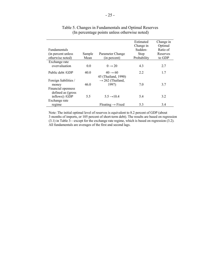|                       |        |                                 | Estimated   | Change in |
|-----------------------|--------|---------------------------------|-------------|-----------|
|                       |        |                                 | Change in   | Optimal   |
| <b>Fundamentals</b>   |        |                                 | Sudden-     | Ratio of  |
| (in percent unless)   | Sample | Parameter Change                | Stop        | Reserves  |
| otherwise noted)      | Mean   | (in percent)                    | Probability | to GDP    |
| Exchange rate         |        |                                 |             |           |
| overvaluation         | 0.0    | $0 \rightarrow 20$              | 4.3         | 2.7       |
| Public debt /GDP      | 40.0   | $40 \rightarrow 60$             | 2.2         | 1.7       |
|                       |        | 45 (Thailand, 1990)             |             |           |
| Foreign liabilities / |        | $\rightarrow$ 262 (Thailand,    |             |           |
| money                 | 46.0   | 1997)                           | 7.0         | 3.7       |
| Financial openness    |        |                                 |             |           |
| defined as (gross)    |        |                                 |             |           |
| inflows) /GDP         | 5.5    | $5.5 \rightarrow 10.4$          | 5.4         | 3.2       |
| Exchange rate         |        |                                 |             |           |
| regime                |        | $F$ loating $\rightarrow$ Fixed | 5.3         | 3.4       |

# Table 5. Changes in Fundamentals and Optimal Reserves (In percentage points unless otherwise noted)

Note: The initial optimal level of reserves is equivalent to 8.2 percent of GDP (about 3 months of imports, or 105 percent of short-term debt). The results are based on regression (3.1) in Table 3—except for the exchange rate regime, which is based on regression (3.2). All fundamentals are averages of the first and second lags.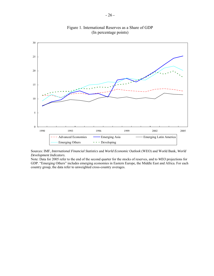

Figure 1. International Reserves as a Share of GDP (In percentage points)

Sources: IMF, *International Financial Statistics* and *World Economic Outlook* (WEO) and World Bank, *World Development Indicators*.

Note: Data for 2005 refer to the end of the second quarter for the stocks of reserves, and to *WEO* projections for GDP. "Emerging Others" includes emerging economies in Eastern Europe, the Middle East and Africa. For each country group, the data refer to unweighted cross-country averages.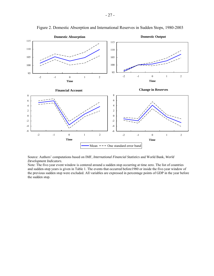

Figure 2. Domestic Absorption and International Reserves in Sudden Stops, 1980-2003

Source: Authors' computations based on IMF, *International Financial Statistics* and World Bank, *World Development Indicators*.

Note: The five-year event window is centered around a sudden stop occurring at time zero. The list of countries and sudden-stop years is given in Table 1. The events that occurred before1980 or inside the five-year window of the previous sudden stop were excluded. All variables are expressed in percentage points of GDP in the year before the sudden stop.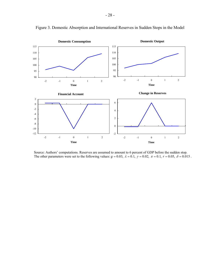

Figure 3. Domestic Absorption and International Reserves in Sudden Stops in the Model

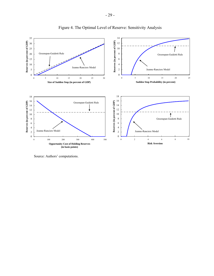

Figure 4. The Optimal Level of Reserve: Sensitivity Analysis

Source: Authors' computations.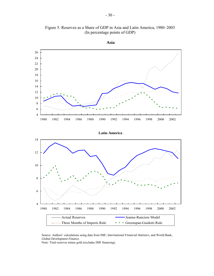

Figure 5. Reserves as a Share of GDP in Asia and Latin America, 1980–2003 (In percentage points of GDP)

Source: Authors' calculations using data from IMF, *International Financial Statistics*, and World Bank, *Global Development Finance.*

Note: Total reserves minus gold (excludes IMF financing).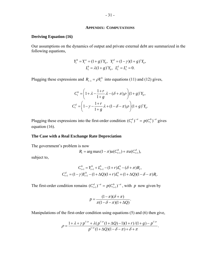#### **APPENDIX: COMPUTATIONS**

#### **Deriving Equation (16)**

Our assumptions on the dynamics of output and private external debt are summarized in the following equations,

$$
Y_t^b = Y_t^a = (1+g)^t Y_0, \quad Y_t^d = (1-\gamma)(1+g)^t Y_0,
$$
  

$$
L_t^b = \lambda (1+g)^t Y_0, \quad L_t^d = L_t^a = 0.
$$

Plugging these expressions and  $R_{t-1} = \rho Y_t^b$  into equations (11) and (12) gives,

$$
C_t^b = \left(1 + \lambda - \frac{1+r}{1+g}\lambda - (\delta + \pi)\rho\right) (1+g)'Y_0,
$$
  

$$
C_t^d = \left(1 - \gamma - \frac{1+r}{1+g}\lambda + (1-\delta - \pi)\rho\right) (1+g)'Y_0.
$$

Plugging these expressions into the first-order condition  $(C_t^d)^{-\sigma} = p(C_t^b)^{-\sigma}$  gives equation (16).

#### **The Case with a Real Exchange Rate Depreciation**

The government's problem is now

$$
R_{t} = \arg \max (1 - \pi) u(C_{t+1}^{b}) + \pi u(C_{t+1}^{d}),
$$

subject to,

$$
C_{t+1}^{b} = Y_{t+1}^{b} + L_{t+1}^{b} - (1+r)L_{t}^{b} - (\delta + \pi)R_{t},
$$
  

$$
C_{t+1}^{d} = (1-\gamma)Y_{t+1}^{b} - (1+\Delta Q)(1+r)L_{t}^{b} + (1+\Delta Q)(1-\delta - \pi)R_{t}.
$$

The first-order condition remains  $(C_{t+1}^d)^{-\sigma} = p(C_{t+1}^b)^{-\sigma}$ , with *p* now given by

$$
p = \frac{(1-\pi)(\delta + \pi)}{\pi(1-\delta-\pi)(1+\Delta Q)}.
$$

Manipulations of the first-order condition using equations (5) and (6) then give,

$$
\rho = \frac{1 + \lambda + \gamma p^{1/\sigma} + \lambda (p^{1/\sigma} (1 + \Delta Q) - 1)(1 + r)/(1 + g) - p^{1/\sigma}}{p^{1/\sigma} (1 + \Delta Q)(1 - \delta - \pi) + \delta + \pi}.
$$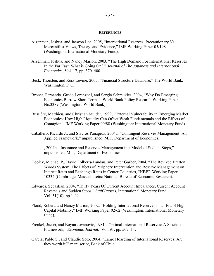#### **REFERENCES**

- Aizenman, Joshua, and Jaewoo Lee, 2005, "International Reserves: Precautionary Vs. Mercantilist Views, Theory, and Evidence," IMF Working Paper 05/198 (Washington: International Monetary Fund).
- Aizenman, Joshua, and Nancy Marion, 2003, "The High Demand For International Reserves In the Far East: What is Going On?," *Journal of The Japanese and International Economies,* Vol. 17, pp. 370–400.
- Beck, Thorsten, and Ross Levine, 2005, "Financial Structure Database," The World Bank, Washington, D.C.
- Broner, Fernando, Guido Lorenzoni, and Sergio Schmukler, 2004, "Why Do Emerging Economies Borrow Short Term?", World Bank Policy Research Working Paper No.3389 (Washington: World Bank).
- Bussière, Matthieu, and Christian Mulder, 1999, "External Vulnerability in Emerging Market Economies: How High Liquidity Can Offset Weak Fundamentals and the Effects of Contagion," IMF Working Paper 99/88 (Washington: International Monetary Fund).
- Caballero, Ricardo J., and Stavros Panageas, 2004a, "Contingent Reserves Management: An Applied Framework," unpublished, MIT, Department of Economics.
	- ———, 2004b, "Insurance and Reserves Management in a Model of Sudden Stops," unpublished, MIT, Department of Economics.
- Dooley, Michael P., David Folkerts-Landau, and Peter Garber, 2004, "The Revived Bretton Woods System: The Effects of Periphery Intervention and Reserve Management on Interest Rates and Exchange Rates in Center Countries, "NBER Working Paper 10332 (Cambridge, Massachusetts: National Bureau of Economic Research).
- Edwards, Sebastian, 2004, "Thirty Years Of Current Account Imbalances, Current Account Reversals and Sudden Stops," *Staff Papers*, International Monetary Fund, Vol. 51(10), pp.1-49.
- Flood, Robert, and Nancy Marion, 2002, "Holding International Reserves In an Era of High Capital Mobility," IMF Working Paper 02/62 (Washington: International Monetary Fund).
- Frenkel, Jacob, and Boyan Jovanovic, 1981, "Optimal International Reserves: A Stochastic Framework," *Economic Journal,* Vol. 91, pp. 507–14.
- Garcia, Pablo S., and Claudio Soto, 2004, "Large Hoarding of International Reserves: Are they worth it?" manuscript, Bank of Chile.